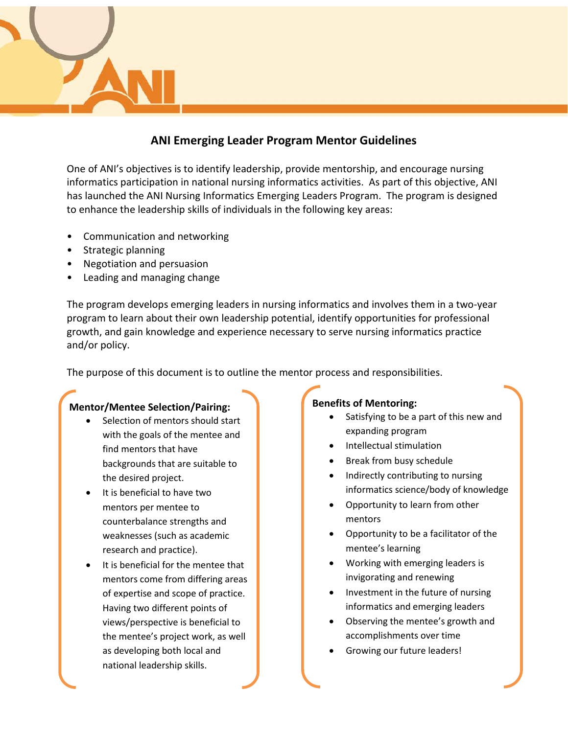# **ANI Emerging Leader Program Mentor Guidelines**

One of ANI's objectives is to identify leadership, provide mentorship, and encourage nursing informatics participation in national nursing informatics activities. As part of this objective, ANI has launched the ANI Nursing Informatics Emerging Leaders Program. The program is designed to enhance the leadership skills of individuals in the following key areas:

- Communication and networking
- Strategic planning
- Negotiation and persuasion
- Leading and managing change

The program develops emerging leaders in nursing informatics and involves them in a two-year program to learn about their own leadership potential, identify opportunities for professional growth, and gain knowledge and experience necessary to serve nursing informatics practice and/or policy.

The purpose of this document is to outline the mentor process and responsibilities.

## **Mentor/Mentee Selection/Pairing:**

- Selection of mentors should start with the goals of the mentee and find mentors that have backgrounds that are suitable to the desired project.
- It is beneficial to have two mentors per mentee to counterbalance strengths and weaknesses (such as academic research and practice).
- It is beneficial for the mentee that mentors come from differing areas of expertise and scope of practice. Having two different points of views/perspective is beneficial to the mentee's project work, as well as developing both local and national leadership skills.

### **Benefits of Mentoring:**

- Satisfying to be a part of this new and expanding program
- Intellectual stimulation
- Break from busy schedule
- Indirectly contributing to nursing informatics science/body of knowledge
- Opportunity to learn from other mentors
- Opportunity to be a facilitator of the mentee's learning
- Working with emerging leaders is invigorating and renewing
- Investment in the future of nursing informatics and emerging leaders
- Observing the mentee's growth and accomplishments over time
- Growing our future leaders!